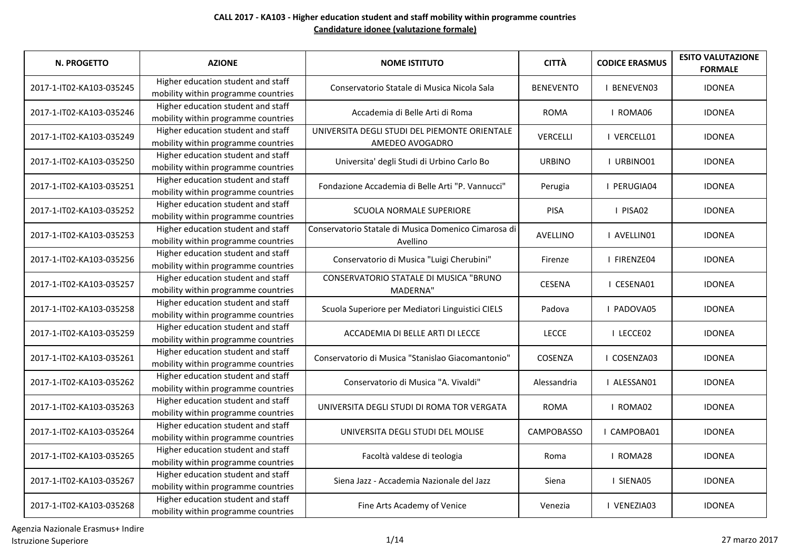| <b>N. PROGETTO</b>       | <b>AZIONE</b>                                                             | <b>NOME ISTITUTO</b>                                             | <b>CITTÀ</b>      | <b>CODICE ERASMUS</b> | <b>ESITO VALUTAZIONE</b><br><b>FORMALE</b> |
|--------------------------|---------------------------------------------------------------------------|------------------------------------------------------------------|-------------------|-----------------------|--------------------------------------------|
| 2017-1-IT02-KA103-035245 | Higher education student and staff<br>mobility within programme countries | Conservatorio Statale di Musica Nicola Sala                      | <b>BENEVENTO</b>  | <b>I BENEVENO3</b>    | <b>IDONEA</b>                              |
| 2017-1-IT02-KA103-035246 | Higher education student and staff<br>mobility within programme countries | Accademia di Belle Arti di Roma                                  | <b>ROMA</b>       | I ROMA06              | <b>IDONEA</b>                              |
| 2017-1-IT02-KA103-035249 | Higher education student and staff<br>mobility within programme countries | UNIVERSITA DEGLI STUDI DEL PIEMONTE ORIENTALE<br>AMEDEO AVOGADRO | VERCELLI          | I VERCELL01           | <b>IDONEA</b>                              |
| 2017-1-IT02-KA103-035250 | Higher education student and staff<br>mobility within programme countries | Universita' degli Studi di Urbino Carlo Bo                       | <b>URBINO</b>     | I URBINO01            | <b>IDONEA</b>                              |
| 2017-1-IT02-KA103-035251 | Higher education student and staff<br>mobility within programme countries | Fondazione Accademia di Belle Arti "P. Vannucci"                 | Perugia           | I PERUGIA04           | <b>IDONEA</b>                              |
| 2017-1-IT02-KA103-035252 | Higher education student and staff<br>mobility within programme countries | <b>SCUOLA NORMALE SUPERIORE</b>                                  | <b>PISA</b>       | I PISA02              | <b>IDONEA</b>                              |
| 2017-1-IT02-KA103-035253 | Higher education student and staff<br>mobility within programme countries | Conservatorio Statale di Musica Domenico Cimarosa di<br>Avellino | AVELLINO          | I AVELLINO1           | <b>IDONEA</b>                              |
| 2017-1-IT02-KA103-035256 | Higher education student and staff<br>mobility within programme countries | Conservatorio di Musica "Luigi Cherubini"                        | Firenze           | I FIRENZE04           | <b>IDONEA</b>                              |
| 2017-1-IT02-KA103-035257 | Higher education student and staff<br>mobility within programme countries | CONSERVATORIO STATALE DI MUSICA "BRUNO<br><b>MADERNA"</b>        | <b>CESENA</b>     | I CESENA01            | <b>IDONEA</b>                              |
| 2017-1-IT02-KA103-035258 | Higher education student and staff<br>mobility within programme countries | Scuola Superiore per Mediatori Linguistici CIELS                 | Padova            | I PADOVA05            | <b>IDONEA</b>                              |
| 2017-1-IT02-KA103-035259 | Higher education student and staff<br>mobility within programme countries | ACCADEMIA DI BELLE ARTI DI LECCE                                 | <b>LECCE</b>      | I LECCE02             | <b>IDONEA</b>                              |
| 2017-1-IT02-KA103-035261 | Higher education student and staff<br>mobility within programme countries | Conservatorio di Musica "Stanislao Giacomantonio"                | COSENZA           | I COSENZA03           | <b>IDONEA</b>                              |
| 2017-1-IT02-KA103-035262 | Higher education student and staff<br>mobility within programme countries | Conservatorio di Musica "A. Vivaldi"                             | Alessandria       | I ALESSAN01           | <b>IDONEA</b>                              |
| 2017-1-IT02-KA103-035263 | Higher education student and staff<br>mobility within programme countries | UNIVERSITA DEGLI STUDI DI ROMA TOR VERGATA                       | <b>ROMA</b>       | I ROMA02              | <b>IDONEA</b>                              |
| 2017-1-IT02-KA103-035264 | Higher education student and staff<br>mobility within programme countries | UNIVERSITA DEGLI STUDI DEL MOLISE                                | <b>CAMPOBASSO</b> | I CAMPOBA01           | <b>IDONEA</b>                              |
| 2017-1-IT02-KA103-035265 | Higher education student and staff<br>mobility within programme countries | Facoltà valdese di teologia                                      | Roma              | I ROMA28              | <b>IDONEA</b>                              |
| 2017-1-IT02-KA103-035267 | Higher education student and staff<br>mobility within programme countries | Siena Jazz - Accademia Nazionale del Jazz                        | Siena             | I SIENA05             | <b>IDONEA</b>                              |
| 2017-1-IT02-KA103-035268 | Higher education student and staff<br>mobility within programme countries | Fine Arts Academy of Venice                                      | Venezia           | I VENEZIA03           | <b>IDONEA</b>                              |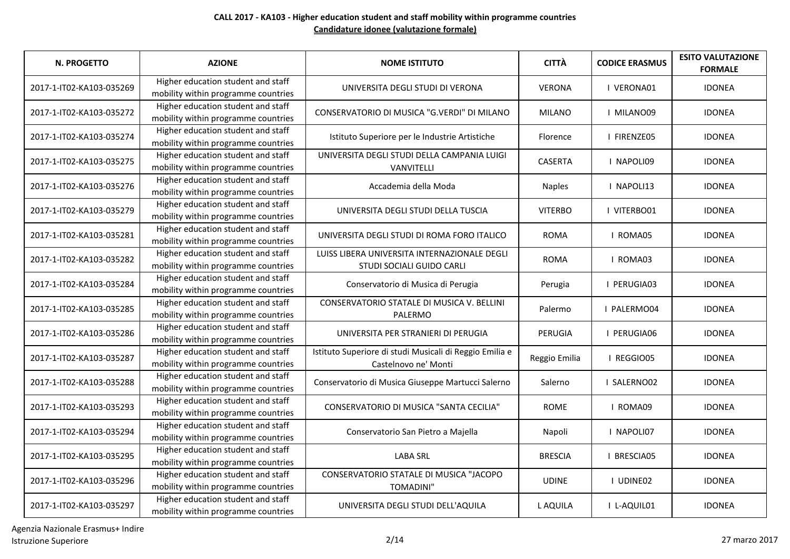| N. PROGETTO              | <b>AZIONE</b>                                                             | <b>NOME ISTITUTO</b>                                                            | <b>CITTÀ</b>   | <b>CODICE ERASMUS</b> | <b>ESITO VALUTAZIONE</b><br><b>FORMALE</b> |
|--------------------------|---------------------------------------------------------------------------|---------------------------------------------------------------------------------|----------------|-----------------------|--------------------------------------------|
| 2017-1-IT02-KA103-035269 | Higher education student and staff<br>mobility within programme countries | UNIVERSITA DEGLI STUDI DI VERONA                                                | <b>VERONA</b>  | I VERONA01            | <b>IDONEA</b>                              |
| 2017-1-IT02-KA103-035272 | Higher education student and staff<br>mobility within programme countries | CONSERVATORIO DI MUSICA "G.VERDI" DI MILANO                                     | <b>MILANO</b>  | I MILANO09            | <b>IDONEA</b>                              |
| 2017-1-IT02-KA103-035274 | Higher education student and staff<br>mobility within programme countries | Istituto Superiore per le Industrie Artistiche                                  | Florence       | I FIRENZE05           | <b>IDONEA</b>                              |
| 2017-1-IT02-KA103-035275 | Higher education student and staff<br>mobility within programme countries | UNIVERSITA DEGLI STUDI DELLA CAMPANIA LUIGI<br>VANVITELLI                       | <b>CASERTA</b> | I NAPOLI09            | <b>IDONEA</b>                              |
| 2017-1-IT02-KA103-035276 | Higher education student and staff<br>mobility within programme countries | Accademia della Moda                                                            | <b>Naples</b>  | I NAPOLI13            | <b>IDONEA</b>                              |
| 2017-1-IT02-KA103-035279 | Higher education student and staff<br>mobility within programme countries | UNIVERSITA DEGLI STUDI DELLA TUSCIA                                             | <b>VITERBO</b> | I VITERBO01           | <b>IDONEA</b>                              |
| 2017-1-IT02-KA103-035281 | Higher education student and staff<br>mobility within programme countries | UNIVERSITA DEGLI STUDI DI ROMA FORO ITALICO                                     | <b>ROMA</b>    | I ROMA05              | <b>IDONEA</b>                              |
| 2017-1-IT02-KA103-035282 | Higher education student and staff<br>mobility within programme countries | LUISS LIBERA UNIVERSITA INTERNAZIONALE DEGLI<br>STUDI SOCIALI GUIDO CARLI       | <b>ROMA</b>    | I ROMA03              | <b>IDONEA</b>                              |
| 2017-1-IT02-KA103-035284 | Higher education student and staff<br>mobility within programme countries | Conservatorio di Musica di Perugia                                              | Perugia        | I PERUGIA03           | <b>IDONEA</b>                              |
| 2017-1-IT02-KA103-035285 | Higher education student and staff<br>mobility within programme countries | CONSERVATORIO STATALE DI MUSICA V. BELLINI<br>PALERMO                           | Palermo        | I PALERMO04           | <b>IDONEA</b>                              |
| 2017-1-IT02-KA103-035286 | Higher education student and staff<br>mobility within programme countries | UNIVERSITA PER STRANIERI DI PERUGIA                                             | PERUGIA        | I PERUGIA06           | <b>IDONEA</b>                              |
| 2017-1-IT02-KA103-035287 | Higher education student and staff<br>mobility within programme countries | Istituto Superiore di studi Musicali di Reggio Emilia e<br>Castelnovo ne' Monti | Reggio Emilia  | I REGGIO05            | <b>IDONEA</b>                              |
| 2017-1-IT02-KA103-035288 | Higher education student and staff<br>mobility within programme countries | Conservatorio di Musica Giuseppe Martucci Salerno                               | Salerno        | I SALERNO02           | <b>IDONEA</b>                              |
| 2017-1-IT02-KA103-035293 | Higher education student and staff<br>mobility within programme countries | CONSERVATORIO DI MUSICA "SANTA CECILIA"                                         | <b>ROME</b>    | I ROMA09              | <b>IDONEA</b>                              |
| 2017-1-IT02-KA103-035294 | Higher education student and staff<br>mobility within programme countries | Conservatorio San Pietro a Majella                                              | Napoli         | I NAPOLI07            | <b>IDONEA</b>                              |
| 2017-1-IT02-KA103-035295 | Higher education student and staff<br>mobility within programme countries | <b>LABA SRL</b>                                                                 | <b>BRESCIA</b> | I BRESCIA05           | <b>IDONEA</b>                              |
| 2017-1-IT02-KA103-035296 | Higher education student and staff<br>mobility within programme countries | CONSERVATORIO STATALE DI MUSICA "JACOPO<br><b>TOMADINI"</b>                     | <b>UDINE</b>   | I UDINE02             | <b>IDONEA</b>                              |
| 2017-1-IT02-KA103-035297 | Higher education student and staff<br>mobility within programme countries | UNIVERSITA DEGLI STUDI DELL'AQUILA                                              | L AQUILA       | I L-AQUIL01           | <b>IDONEA</b>                              |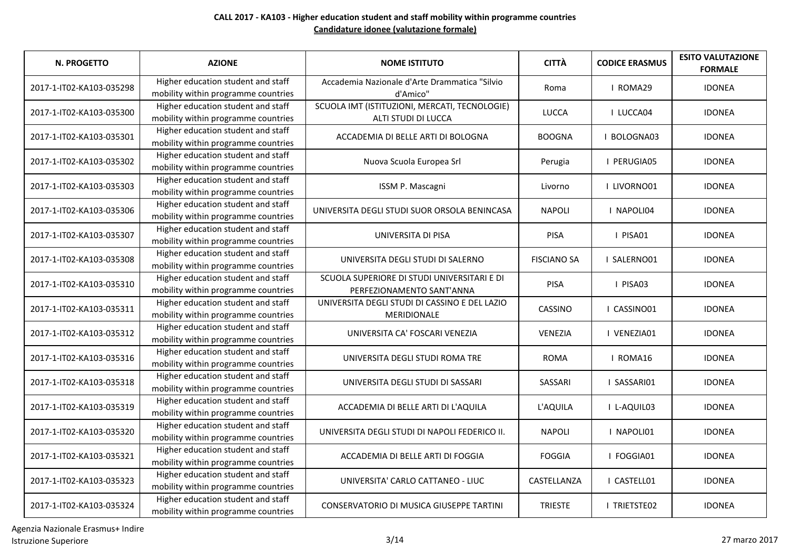| <b>N. PROGETTO</b>       | <b>AZIONE</b>                                                             | <b>NOME ISTITUTO</b>                                                     | <b>CITTÀ</b>       | <b>CODICE ERASMUS</b> | <b>ESITO VALUTAZIONE</b><br><b>FORMALE</b> |
|--------------------------|---------------------------------------------------------------------------|--------------------------------------------------------------------------|--------------------|-----------------------|--------------------------------------------|
| 2017-1-IT02-KA103-035298 | Higher education student and staff<br>mobility within programme countries | Accademia Nazionale d'Arte Drammatica "Silvio<br>d'Amico"                | Roma               | I ROMA29              | <b>IDONEA</b>                              |
| 2017-1-IT02-KA103-035300 | Higher education student and staff<br>mobility within programme countries | SCUOLA IMT (ISTITUZIONI, MERCATI, TECNOLOGIE)<br>ALTI STUDI DI LUCCA     | <b>LUCCA</b>       | I LUCCA04             | <b>IDONEA</b>                              |
| 2017-1-IT02-KA103-035301 | Higher education student and staff<br>mobility within programme countries | ACCADEMIA DI BELLE ARTI DI BOLOGNA                                       | <b>BOOGNA</b>      | I BOLOGNA03           | <b>IDONEA</b>                              |
| 2017-1-IT02-KA103-035302 | Higher education student and staff<br>mobility within programme countries | Nuova Scuola Europea Srl                                                 | Perugia            | I PERUGIA05           | <b>IDONEA</b>                              |
| 2017-1-IT02-KA103-035303 | Higher education student and staff<br>mobility within programme countries | ISSM P. Mascagni                                                         | Livorno            | I LIVORNO01           | <b>IDONEA</b>                              |
| 2017-1-IT02-KA103-035306 | Higher education student and staff<br>mobility within programme countries | UNIVERSITA DEGLI STUDI SUOR ORSOLA BENINCASA                             | <b>NAPOLI</b>      | I NAPOLI04            | <b>IDONEA</b>                              |
| 2017-1-IT02-KA103-035307 | Higher education student and staff<br>mobility within programme countries | UNIVERSITA DI PISA                                                       | PISA               | I PISA01              | <b>IDONEA</b>                              |
| 2017-1-IT02-KA103-035308 | Higher education student and staff<br>mobility within programme countries | UNIVERSITA DEGLI STUDI DI SALERNO                                        | <b>FISCIANO SA</b> | I SALERNO01           | <b>IDONEA</b>                              |
| 2017-1-IT02-KA103-035310 | Higher education student and staff<br>mobility within programme countries | SCUOLA SUPERIORE DI STUDI UNIVERSITARI E DI<br>PERFEZIONAMENTO SANT'ANNA | PISA               | I PISA03              | <b>IDONEA</b>                              |
| 2017-1-IT02-KA103-035311 | Higher education student and staff<br>mobility within programme countries | UNIVERSITA DEGLI STUDI DI CASSINO E DEL LAZIO<br><b>MERIDIONALE</b>      | CASSINO            | I CASSINO01           | <b>IDONEA</b>                              |
| 2017-1-IT02-KA103-035312 | Higher education student and staff<br>mobility within programme countries | UNIVERSITA CA' FOSCARI VENEZIA                                           | <b>VENEZIA</b>     | I VENEZIA01           | <b>IDONEA</b>                              |
| 2017-1-IT02-KA103-035316 | Higher education student and staff<br>mobility within programme countries | UNIVERSITA DEGLI STUDI ROMA TRE                                          | <b>ROMA</b>        | I ROMA16              | <b>IDONEA</b>                              |
| 2017-1-IT02-KA103-035318 | Higher education student and staff<br>mobility within programme countries | UNIVERSITA DEGLI STUDI DI SASSARI                                        | SASSARI            | I SASSARI01           | <b>IDONEA</b>                              |
| 2017-1-IT02-KA103-035319 | Higher education student and staff<br>mobility within programme countries | ACCADEMIA DI BELLE ARTI DI L'AQUILA                                      | L'AQUILA           | I L-AQUIL03           | <b>IDONEA</b>                              |
| 2017-1-IT02-KA103-035320 | Higher education student and staff<br>mobility within programme countries | UNIVERSITA DEGLI STUDI DI NAPOLI FEDERICO II.                            | <b>NAPOLI</b>      | I NAPOLI01            | <b>IDONEA</b>                              |
| 2017-1-IT02-KA103-035321 | Higher education student and staff<br>mobility within programme countries | ACCADEMIA DI BELLE ARTI DI FOGGIA                                        | <b>FOGGIA</b>      | I FOGGIA01            | <b>IDONEA</b>                              |
| 2017-1-IT02-KA103-035323 | Higher education student and staff<br>mobility within programme countries | UNIVERSITA' CARLO CATTANEO - LIUC                                        | CASTELLANZA        | I CASTELL01           | <b>IDONEA</b>                              |
| 2017-1-IT02-KA103-035324 | Higher education student and staff<br>mobility within programme countries | CONSERVATORIO DI MUSICA GIUSEPPE TARTINI                                 | <b>TRIESTE</b>     | I TRIETSTE02          | <b>IDONEA</b>                              |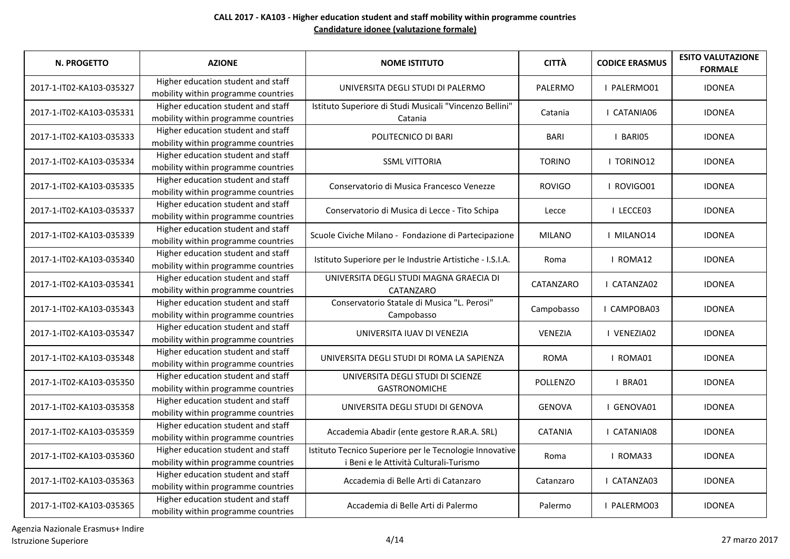| <b>N. PROGETTO</b>       | <b>AZIONE</b>                                                             | <b>NOME ISTITUTO</b>                                                                              | <b>CITTÀ</b>    | <b>CODICE ERASMUS</b> | <b>ESITO VALUTAZIONE</b><br><b>FORMALE</b> |
|--------------------------|---------------------------------------------------------------------------|---------------------------------------------------------------------------------------------------|-----------------|-----------------------|--------------------------------------------|
| 2017-1-IT02-KA103-035327 | Higher education student and staff<br>mobility within programme countries | UNIVERSITA DEGLI STUDI DI PALERMO                                                                 | PALERMO         | I PALERMO01           | <b>IDONEA</b>                              |
| 2017-1-IT02-KA103-035331 | Higher education student and staff<br>mobility within programme countries | Istituto Superiore di Studi Musicali "Vincenzo Bellini"<br>Catania                                | Catania         | I CATANIA06           | <b>IDONEA</b>                              |
| 2017-1-IT02-KA103-035333 | Higher education student and staff<br>mobility within programme countries | POLITECNICO DI BARI                                                                               | <b>BARI</b>     | I BARIO5              | <b>IDONEA</b>                              |
| 2017-1-IT02-KA103-035334 | Higher education student and staff<br>mobility within programme countries | <b>SSML VITTORIA</b>                                                                              | <b>TORINO</b>   | I TORINO12            | <b>IDONEA</b>                              |
| 2017-1-IT02-KA103-035335 | Higher education student and staff<br>mobility within programme countries | Conservatorio di Musica Francesco Venezze                                                         | <b>ROVIGO</b>   | I ROVIGO01            | <b>IDONEA</b>                              |
| 2017-1-IT02-KA103-035337 | Higher education student and staff<br>mobility within programme countries | Conservatorio di Musica di Lecce - Tito Schipa                                                    | Lecce           | I LECCE03             | <b>IDONEA</b>                              |
| 2017-1-IT02-KA103-035339 | Higher education student and staff<br>mobility within programme countries | Scuole Civiche Milano - Fondazione di Partecipazione                                              | <b>MILANO</b>   | I MILANO14            | <b>IDONEA</b>                              |
| 2017-1-IT02-KA103-035340 | Higher education student and staff<br>mobility within programme countries | Istituto Superiore per le Industrie Artistiche - I.S.I.A.                                         | Roma            | I ROMA12              | <b>IDONEA</b>                              |
| 2017-1-IT02-KA103-035341 | Higher education student and staff<br>mobility within programme countries | UNIVERSITA DEGLI STUDI MAGNA GRAECIA DI<br>CATANZARO                                              | CATANZARO       | I CATANZA02           | <b>IDONEA</b>                              |
| 2017-1-IT02-KA103-035343 | Higher education student and staff<br>mobility within programme countries | Conservatorio Statale di Musica "L. Perosi"<br>Campobasso                                         | Campobasso      | I CAMPOBA03           | <b>IDONEA</b>                              |
| 2017-1-IT02-KA103-035347 | Higher education student and staff<br>mobility within programme countries | UNIVERSITA IUAV DI VENEZIA                                                                        | VENEZIA         | I VENEZIA02           | <b>IDONEA</b>                              |
| 2017-1-IT02-KA103-035348 | Higher education student and staff<br>mobility within programme countries | UNIVERSITA DEGLI STUDI DI ROMA LA SAPIENZA                                                        | <b>ROMA</b>     | I ROMA01              | <b>IDONEA</b>                              |
| 2017-1-IT02-KA103-035350 | Higher education student and staff<br>mobility within programme countries | UNIVERSITA DEGLI STUDI DI SCIENZE<br><b>GASTRONOMICHE</b>                                         | <b>POLLENZO</b> | I BRA01               | <b>IDONEA</b>                              |
| 2017-1-IT02-KA103-035358 | Higher education student and staff<br>mobility within programme countries | UNIVERSITA DEGLI STUDI DI GENOVA                                                                  | <b>GENOVA</b>   | I GENOVA01            | <b>IDONEA</b>                              |
| 2017-1-IT02-KA103-035359 | Higher education student and staff<br>mobility within programme countries | Accademia Abadir (ente gestore R.AR.A. SRL)                                                       | <b>CATANIA</b>  | I CATANIA08           | <b>IDONEA</b>                              |
| 2017-1-IT02-KA103-035360 | Higher education student and staff<br>mobility within programme countries | Istituto Tecnico Superiore per le Tecnologie Innovative<br>i Beni e le Attività Culturali-Turismo | Roma            | I ROMA33              | <b>IDONEA</b>                              |
| 2017-1-IT02-KA103-035363 | Higher education student and staff<br>mobility within programme countries | Accademia di Belle Arti di Catanzaro                                                              | Catanzaro       | I CATANZA03           | <b>IDONEA</b>                              |
| 2017-1-IT02-KA103-035365 | Higher education student and staff<br>mobility within programme countries | Accademia di Belle Arti di Palermo                                                                | Palermo         | I PALERMO03           | <b>IDONEA</b>                              |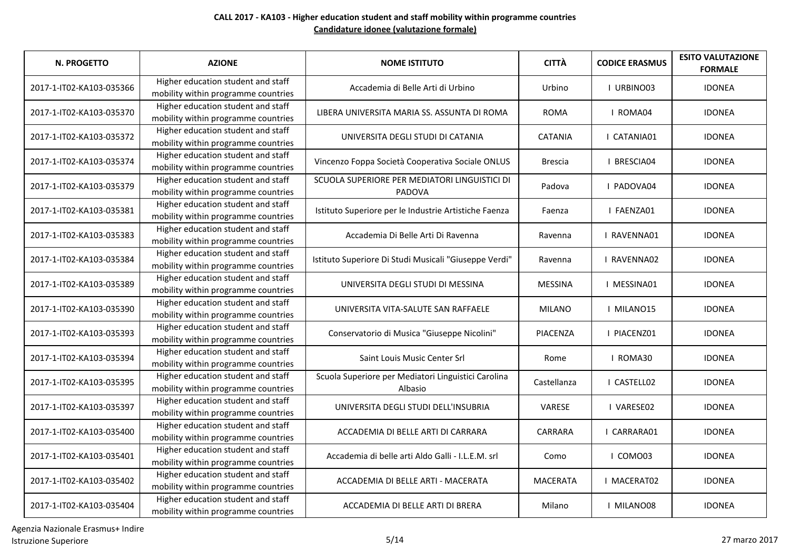| N. PROGETTO              | <b>AZIONE</b>                                                             | <b>NOME ISTITUTO</b>                                           | <b>CITTÀ</b>    | <b>CODICE ERASMUS</b> | <b>ESITO VALUTAZIONE</b><br><b>FORMALE</b> |
|--------------------------|---------------------------------------------------------------------------|----------------------------------------------------------------|-----------------|-----------------------|--------------------------------------------|
| 2017-1-IT02-KA103-035366 | Higher education student and staff<br>mobility within programme countries | Accademia di Belle Arti di Urbino                              | Urbino          | I URBINO03            | <b>IDONEA</b>                              |
| 2017-1-IT02-KA103-035370 | Higher education student and staff<br>mobility within programme countries | LIBERA UNIVERSITA MARIA SS. ASSUNTA DI ROMA                    | <b>ROMA</b>     | I ROMA04              | <b>IDONEA</b>                              |
| 2017-1-IT02-KA103-035372 | Higher education student and staff<br>mobility within programme countries | UNIVERSITA DEGLI STUDI DI CATANIA                              | <b>CATANIA</b>  | I CATANIA01           | <b>IDONEA</b>                              |
| 2017-1-IT02-KA103-035374 | Higher education student and staff<br>mobility within programme countries | Vincenzo Foppa Società Cooperativa Sociale ONLUS               | <b>Brescia</b>  | <b>I BRESCIA04</b>    | <b>IDONEA</b>                              |
| 2017-1-IT02-KA103-035379 | Higher education student and staff<br>mobility within programme countries | SCUOLA SUPERIORE PER MEDIATORI LINGUISTICI DI<br><b>PADOVA</b> | Padova          | I PADOVA04            | <b>IDONEA</b>                              |
| 2017-1-IT02-KA103-035381 | Higher education student and staff<br>mobility within programme countries | Istituto Superiore per le Industrie Artistiche Faenza          | Faenza          | I FAENZA01            | <b>IDONEA</b>                              |
| 2017-1-IT02-KA103-035383 | Higher education student and staff<br>mobility within programme countries | Accademia Di Belle Arti Di Ravenna                             | Ravenna         | <b>I RAVENNA01</b>    | <b>IDONEA</b>                              |
| 2017-1-IT02-KA103-035384 | Higher education student and staff<br>mobility within programme countries | Istituto Superiore Di Studi Musicali "Giuseppe Verdi"          | Ravenna         | <b>I RAVENNA02</b>    | <b>IDONEA</b>                              |
| 2017-1-IT02-KA103-035389 | Higher education student and staff<br>mobility within programme countries | UNIVERSITA DEGLI STUDI DI MESSINA                              | <b>MESSINA</b>  | I MESSINA01           | <b>IDONEA</b>                              |
| 2017-1-IT02-KA103-035390 | Higher education student and staff<br>mobility within programme countries | UNIVERSITA VITA-SALUTE SAN RAFFAELE                            | <b>MILANO</b>   | I MILANO15            | <b>IDONEA</b>                              |
| 2017-1-IT02-KA103-035393 | Higher education student and staff<br>mobility within programme countries | Conservatorio di Musica "Giuseppe Nicolini"                    | <b>PIACENZA</b> | I PIACENZ01           | <b>IDONEA</b>                              |
| 2017-1-IT02-KA103-035394 | Higher education student and staff<br>mobility within programme countries | Saint Louis Music Center Srl                                   | Rome            | I ROMA30              | <b>IDONEA</b>                              |
| 2017-1-IT02-KA103-035395 | Higher education student and staff<br>mobility within programme countries | Scuola Superiore per Mediatori Linguistici Carolina<br>Albasio | Castellanza     | I CASTELL02           | <b>IDONEA</b>                              |
| 2017-1-IT02-KA103-035397 | Higher education student and staff<br>mobility within programme countries | UNIVERSITA DEGLI STUDI DELL'INSUBRIA                           | VARESE          | I VARESE02            | <b>IDONEA</b>                              |
| 2017-1-IT02-KA103-035400 | Higher education student and staff<br>mobility within programme countries | ACCADEMIA DI BELLE ARTI DI CARRARA                             | CARRARA         | I CARRARA01           | <b>IDONEA</b>                              |
| 2017-1-IT02-KA103-035401 | Higher education student and staff<br>mobility within programme countries | Accademia di belle arti Aldo Galli - I.L.E.M. srl              | Como            | I COMO03              | <b>IDONEA</b>                              |
| 2017-1-IT02-KA103-035402 | Higher education student and staff<br>mobility within programme countries | ACCADEMIA DI BELLE ARTI - MACERATA                             | <b>MACERATA</b> | I MACERAT02           | <b>IDONEA</b>                              |
| 2017-1-IT02-KA103-035404 | Higher education student and staff<br>mobility within programme countries | ACCADEMIA DI BELLE ARTI DI BRERA                               | Milano          | I MILANO08            | <b>IDONEA</b>                              |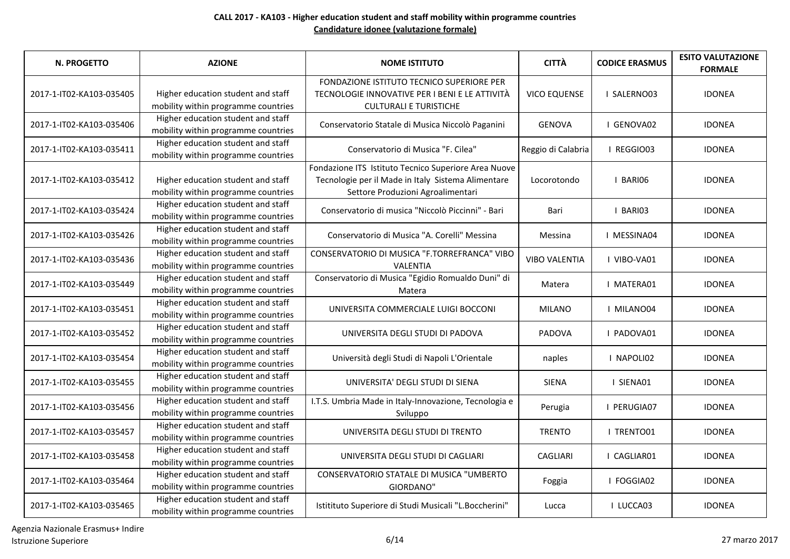| N. PROGETTO              | <b>AZIONE</b>                                                             | <b>NOME ISTITUTO</b>                                                                                                                            | <b>CITTÀ</b>         | <b>CODICE ERASMUS</b> | <b>ESITO VALUTAZIONE</b><br><b>FORMALE</b> |
|--------------------------|---------------------------------------------------------------------------|-------------------------------------------------------------------------------------------------------------------------------------------------|----------------------|-----------------------|--------------------------------------------|
| 2017-1-IT02-KA103-035405 | Higher education student and staff<br>mobility within programme countries | FONDAZIONE ISTITUTO TECNICO SUPERIORE PER<br>TECNOLOGIE INNOVATIVE PER I BENI E LE ATTIVITÀ<br><b>CULTURALI E TURISTICHE</b>                    | <b>VICO EQUENSE</b>  | I SALERNO03           | <b>IDONEA</b>                              |
| 2017-1-IT02-KA103-035406 | Higher education student and staff<br>mobility within programme countries | Conservatorio Statale di Musica Niccolò Paganini                                                                                                | <b>GENOVA</b>        | I GENOVA02            | <b>IDONEA</b>                              |
| 2017-1-IT02-KA103-035411 | Higher education student and staff<br>mobility within programme countries | Conservatorio di Musica "F. Cilea"                                                                                                              | Reggio di Calabria   | I REGGIO03            | <b>IDONEA</b>                              |
| 2017-1-IT02-KA103-035412 | Higher education student and staff<br>mobility within programme countries | Fondazione ITS Istituto Tecnico Superiore Area Nuove<br>Tecnologie per il Made in Italy Sistema Alimentare<br>Settore Produzioni Agroalimentari | Locorotondo          | I BARIO6              | <b>IDONEA</b>                              |
| 2017-1-IT02-KA103-035424 | Higher education student and staff<br>mobility within programme countries | Conservatorio di musica "Niccolò Piccinni" - Bari                                                                                               | Bari                 | I BARIO3              | <b>IDONEA</b>                              |
| 2017-1-IT02-KA103-035426 | Higher education student and staff<br>mobility within programme countries | Conservatorio di Musica "A. Corelli" Messina                                                                                                    | Messina              | I MESSINA04           | <b>IDONEA</b>                              |
| 2017-1-IT02-KA103-035436 | Higher education student and staff<br>mobility within programme countries | CONSERVATORIO DI MUSICA "F.TORREFRANCA" VIBO<br><b>VALENTIA</b>                                                                                 | <b>VIBO VALENTIA</b> | I VIBO-VA01           | <b>IDONEA</b>                              |
| 2017-1-IT02-KA103-035449 | Higher education student and staff<br>mobility within programme countries | Conservatorio di Musica "Egidio Romualdo Duni" di<br>Matera                                                                                     | Matera               | I MATERA01            | <b>IDONEA</b>                              |
| 2017-1-IT02-KA103-035451 | Higher education student and staff<br>mobility within programme countries | UNIVERSITA COMMERCIALE LUIGI BOCCONI                                                                                                            | <b>MILANO</b>        | I MILANO04            | <b>IDONEA</b>                              |
| 2017-1-IT02-KA103-035452 | Higher education student and staff<br>mobility within programme countries | UNIVERSITA DEGLI STUDI DI PADOVA                                                                                                                | PADOVA               | I PADOVA01            | <b>IDONEA</b>                              |
| 2017-1-IT02-KA103-035454 | Higher education student and staff<br>mobility within programme countries | Università degli Studi di Napoli L'Orientale                                                                                                    | naples               | I NAPOLI02            | <b>IDONEA</b>                              |
| 2017-1-IT02-KA103-035455 | Higher education student and staff<br>mobility within programme countries | UNIVERSITA' DEGLI STUDI DI SIENA                                                                                                                | <b>SIENA</b>         | I SIENA01             | <b>IDONEA</b>                              |
| 2017-1-IT02-KA103-035456 | Higher education student and staff<br>mobility within programme countries | I.T.S. Umbria Made in Italy-Innovazione, Tecnologia e<br>Sviluppo                                                                               | Perugia              | I PERUGIA07           | <b>IDONEA</b>                              |
| 2017-1-IT02-KA103-035457 | Higher education student and staff<br>mobility within programme countries | UNIVERSITA DEGLI STUDI DI TRENTO                                                                                                                | <b>TRENTO</b>        | I TRENTO01            | <b>IDONEA</b>                              |
| 2017-1-IT02-KA103-035458 | Higher education student and staff<br>mobility within programme countries | UNIVERSITA DEGLI STUDI DI CAGLIARI                                                                                                              | <b>CAGLIARI</b>      | I CAGLIAR01           | <b>IDONEA</b>                              |
| 2017-1-IT02-KA103-035464 | Higher education student and staff<br>mobility within programme countries | CONSERVATORIO STATALE DI MUSICA "UMBERTO<br>GIORDANO"                                                                                           | Foggia               | I FOGGIA02            | <b>IDONEA</b>                              |
| 2017-1-IT02-KA103-035465 | Higher education student and staff<br>mobility within programme countries | Istitituto Superiore di Studi Musicali "L.Boccherini"                                                                                           | Lucca                | I LUCCA03             | <b>IDONEA</b>                              |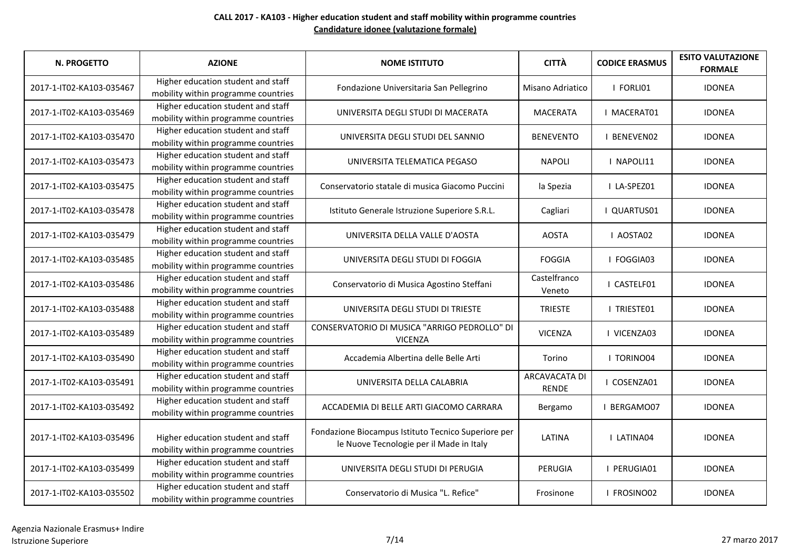| <b>N. PROGETTO</b>       | <b>AZIONE</b>                                                             | <b>NOME ISTITUTO</b>                                                                            | <b>CITTÀ</b>                         | <b>CODICE ERASMUS</b> | <b>ESITO VALUTAZIONE</b><br><b>FORMALE</b> |
|--------------------------|---------------------------------------------------------------------------|-------------------------------------------------------------------------------------------------|--------------------------------------|-----------------------|--------------------------------------------|
| 2017-1-IT02-KA103-035467 | Higher education student and staff<br>mobility within programme countries | Fondazione Universitaria San Pellegrino                                                         | Misano Adriatico                     | I FORLI01             | <b>IDONEA</b>                              |
| 2017-1-IT02-KA103-035469 | Higher education student and staff<br>mobility within programme countries | UNIVERSITA DEGLI STUDI DI MACERATA                                                              | <b>MACERATA</b>                      | <b>I MACERAT01</b>    | <b>IDONEA</b>                              |
| 2017-1-IT02-KA103-035470 | Higher education student and staff<br>mobility within programme countries | UNIVERSITA DEGLI STUDI DEL SANNIO                                                               | <b>BENEVENTO</b>                     | <b>I BENEVENO2</b>    | <b>IDONEA</b>                              |
| 2017-1-IT02-KA103-035473 | Higher education student and staff<br>mobility within programme countries | UNIVERSITA TELEMATICA PEGASO                                                                    | <b>NAPOLI</b>                        | I NAPOLI11            | <b>IDONEA</b>                              |
| 2017-1-IT02-KA103-035475 | Higher education student and staff<br>mobility within programme countries | Conservatorio statale di musica Giacomo Puccini                                                 | la Spezia                            | I LA-SPEZ01           | <b>IDONEA</b>                              |
| 2017-1-IT02-KA103-035478 | Higher education student and staff<br>mobility within programme countries | Istituto Generale Istruzione Superiore S.R.L.                                                   | Cagliari                             | I QUARTUS01           | <b>IDONEA</b>                              |
| 2017-1-IT02-KA103-035479 | Higher education student and staff<br>mobility within programme countries | UNIVERSITA DELLA VALLE D'AOSTA                                                                  | <b>AOSTA</b>                         | <b>LAOSTA02</b>       | <b>IDONEA</b>                              |
| 2017-1-IT02-KA103-035485 | Higher education student and staff<br>mobility within programme countries | UNIVERSITA DEGLI STUDI DI FOGGIA                                                                | <b>FOGGIA</b>                        | I FOGGIA03            | <b>IDONEA</b>                              |
| 2017-1-IT02-KA103-035486 | Higher education student and staff<br>mobility within programme countries | Conservatorio di Musica Agostino Steffani                                                       | Castelfranco<br>Veneto               | I CASTELF01           | <b>IDONEA</b>                              |
| 2017-1-IT02-KA103-035488 | Higher education student and staff<br>mobility within programme countries | UNIVERSITA DEGLI STUDI DI TRIESTE                                                               | <b>TRIESTE</b>                       | I TRIESTE01           | <b>IDONEA</b>                              |
| 2017-1-IT02-KA103-035489 | Higher education student and staff<br>mobility within programme countries | CONSERVATORIO DI MUSICA "ARRIGO PEDROLLO" DI<br><b>VICENZA</b>                                  | <b>VICENZA</b>                       | I VICENZA03           | <b>IDONEA</b>                              |
| 2017-1-IT02-KA103-035490 | Higher education student and staff<br>mobility within programme countries | Accademia Albertina delle Belle Arti                                                            | Torino                               | <b>I TORINO04</b>     | <b>IDONEA</b>                              |
| 2017-1-IT02-KA103-035491 | Higher education student and staff<br>mobility within programme countries | UNIVERSITA DELLA CALABRIA                                                                       | <b>ARCAVACATA DI</b><br><b>RENDE</b> | I COSENZA01           | <b>IDONEA</b>                              |
| 2017-1-IT02-KA103-035492 | Higher education student and staff<br>mobility within programme countries | ACCADEMIA DI BELLE ARTI GIACOMO CARRARA                                                         | Bergamo                              | I BERGAMO07           | <b>IDONEA</b>                              |
| 2017-1-IT02-KA103-035496 | Higher education student and staff<br>mobility within programme countries | Fondazione Biocampus Istituto Tecnico Superiore per<br>le Nuove Tecnologie per il Made in Italy | LATINA                               | <b>I LATINA04</b>     | <b>IDONEA</b>                              |
| 2017-1-IT02-KA103-035499 | Higher education student and staff<br>mobility within programme countries | UNIVERSITA DEGLI STUDI DI PERUGIA                                                               | PERUGIA                              | I PERUGIA01           | <b>IDONEA</b>                              |
| 2017-1-IT02-KA103-035502 | Higher education student and staff<br>mobility within programme countries | Conservatorio di Musica "L. Refice"                                                             | Frosinone                            | I FROSINO02           | <b>IDONEA</b>                              |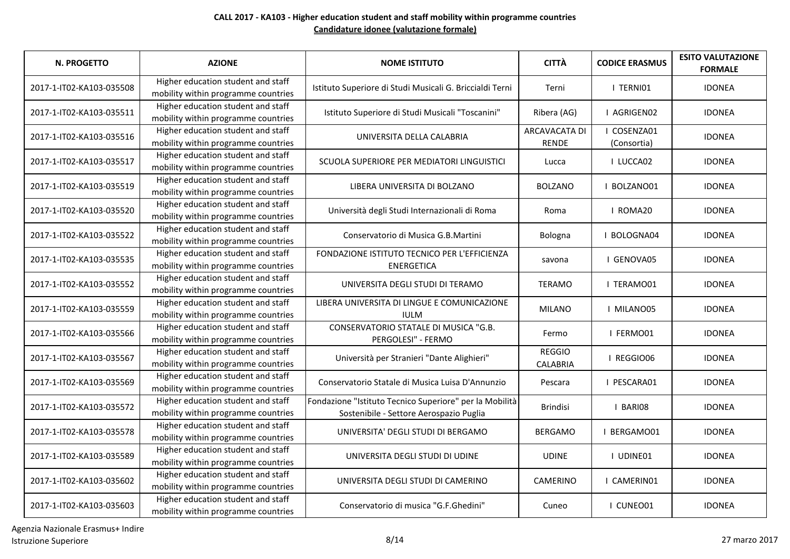| <b>N. PROGETTO</b>       | <b>AZIONE</b>                                                             | <b>NOME ISTITUTO</b>                                                                               | <b>CITTÀ</b>                         | <b>CODICE ERASMUS</b>      | <b>ESITO VALUTAZIONE</b><br><b>FORMALE</b> |
|--------------------------|---------------------------------------------------------------------------|----------------------------------------------------------------------------------------------------|--------------------------------------|----------------------------|--------------------------------------------|
| 2017-1-IT02-KA103-035508 | Higher education student and staff<br>mobility within programme countries | Istituto Superiore di Studi Musicali G. Briccialdi Terni                                           | Terni                                | I TERNIO1                  | <b>IDONEA</b>                              |
| 2017-1-IT02-KA103-035511 | Higher education student and staff<br>mobility within programme countries | Istituto Superiore di Studi Musicali "Toscanini"                                                   | Ribera (AG)                          | I AGRIGEN02                | <b>IDONEA</b>                              |
| 2017-1-IT02-KA103-035516 | Higher education student and staff<br>mobility within programme countries | UNIVERSITA DELLA CALABRIA                                                                          | <b>ARCAVACATA DI</b><br><b>RENDE</b> | I COSENZA01<br>(Consortia) | <b>IDONEA</b>                              |
| 2017-1-IT02-KA103-035517 | Higher education student and staff<br>mobility within programme countries | SCUOLA SUPERIORE PER MEDIATORI LINGUISTICI                                                         | Lucca                                | I LUCCA02                  | <b>IDONEA</b>                              |
| 2017-1-IT02-KA103-035519 | Higher education student and staff<br>mobility within programme countries | LIBERA UNIVERSITA DI BOLZANO                                                                       | <b>BOLZANO</b>                       | I BOLZANO01                | <b>IDONEA</b>                              |
| 2017-1-IT02-KA103-035520 | Higher education student and staff<br>mobility within programme countries | Università degli Studi Internazionali di Roma                                                      | Roma                                 | I ROMA20                   | <b>IDONEA</b>                              |
| 2017-1-IT02-KA103-035522 | Higher education student and staff<br>mobility within programme countries | Conservatorio di Musica G.B.Martini                                                                | Bologna                              | I BOLOGNA04                | <b>IDONEA</b>                              |
| 2017-1-IT02-KA103-035535 | Higher education student and staff<br>mobility within programme countries | FONDAZIONE ISTITUTO TECNICO PER L'EFFICIENZA<br><b>ENERGETICA</b>                                  | savona                               | I GENOVA05                 | <b>IDONEA</b>                              |
| 2017-1-IT02-KA103-035552 | Higher education student and staff<br>mobility within programme countries | UNIVERSITA DEGLI STUDI DI TERAMO                                                                   | <b>TERAMO</b>                        | I TERAMO01                 | <b>IDONEA</b>                              |
| 2017-1-IT02-KA103-035559 | Higher education student and staff<br>mobility within programme countries | LIBERA UNIVERSITA DI LINGUE E COMUNICAZIONE<br><b>IULM</b>                                         | <b>MILANO</b>                        | I MILANO05                 | <b>IDONEA</b>                              |
| 2017-1-IT02-KA103-035566 | Higher education student and staff<br>mobility within programme countries | CONSERVATORIO STATALE DI MUSICA "G.B.<br>PERGOLESI" - FERMO                                        | Fermo                                | I FERMO01                  | <b>IDONEA</b>                              |
| 2017-1-IT02-KA103-035567 | Higher education student and staff<br>mobility within programme countries | Università per Stranieri "Dante Alighieri"                                                         | <b>REGGIO</b><br><b>CALABRIA</b>     | I REGGIO06                 | <b>IDONEA</b>                              |
| 2017-1-IT02-KA103-035569 | Higher education student and staff<br>mobility within programme countries | Conservatorio Statale di Musica Luisa D'Annunzio                                                   | Pescara                              | I PESCARA01                | <b>IDONEA</b>                              |
| 2017-1-IT02-KA103-035572 | Higher education student and staff<br>mobility within programme countries | Fondazione "Istituto Tecnico Superiore" per la Mobilità<br>Sostenibile - Settore Aerospazio Puglia | <b>Brindisi</b>                      | I BARIO8                   | <b>IDONEA</b>                              |
| 2017-1-IT02-KA103-035578 | Higher education student and staff<br>mobility within programme countries | UNIVERSITA' DEGLI STUDI DI BERGAMO                                                                 | <b>BERGAMO</b>                       | BERGAMO01                  | <b>IDONEA</b>                              |
| 2017-1-IT02-KA103-035589 | Higher education student and staff<br>mobility within programme countries | UNIVERSITA DEGLI STUDI DI UDINE                                                                    | <b>UDINE</b>                         | I UDINE01                  | <b>IDONEA</b>                              |
| 2017-1-IT02-KA103-035602 | Higher education student and staff<br>mobility within programme countries | UNIVERSITA DEGLI STUDI DI CAMERINO                                                                 | <b>CAMERINO</b>                      | I CAMERIN01                | <b>IDONEA</b>                              |
| 2017-1-IT02-KA103-035603 | Higher education student and staff<br>mobility within programme countries | Conservatorio di musica "G.F.Ghedini"                                                              | Cuneo                                | I CUNEO01                  | <b>IDONEA</b>                              |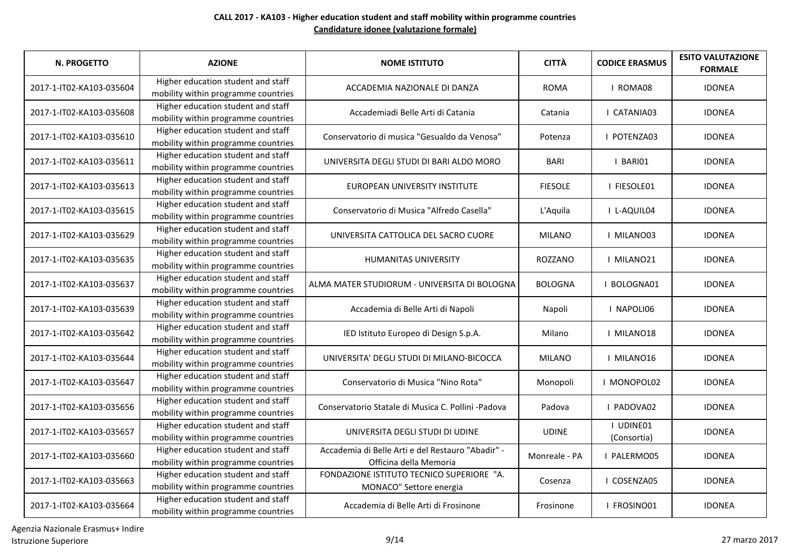| <b>N. PROGETTO</b>       | <b>AZIONE</b>                                                             | <b>NOME ISTITUTO</b>                                                        | <b>CITTÀ</b>   | <b>CODICE ERASMUS</b>    | <b>ESITO VALUTAZIONE</b><br><b>FORMALE</b> |
|--------------------------|---------------------------------------------------------------------------|-----------------------------------------------------------------------------|----------------|--------------------------|--------------------------------------------|
| 2017-1-IT02-KA103-035604 | Higher education student and staff<br>mobility within programme countries | ACCADEMIA NAZIONALE DI DANZA                                                | <b>ROMA</b>    | I ROMA08                 | <b>IDONEA</b>                              |
| 2017-1-IT02-KA103-035608 | Higher education student and staff<br>mobility within programme countries | Accademiadi Belle Arti di Catania                                           | Catania        | I CATANIA03              | <b>IDONEA</b>                              |
| 2017-1-IT02-KA103-035610 | Higher education student and staff<br>mobility within programme countries | Conservatorio di musica "Gesualdo da Venosa"                                | Potenza        | I POTENZA03              | <b>IDONEA</b>                              |
| 2017-1-IT02-KA103-035611 | Higher education student and staff<br>mobility within programme countries | UNIVERSITA DEGLI STUDI DI BARI ALDO MORO                                    | <b>BARI</b>    | I BARIO1                 | <b>IDONEA</b>                              |
| 2017-1-IT02-KA103-035613 | Higher education student and staff<br>mobility within programme countries | EUROPEAN UNIVERSITY INSTITUTE                                               | <b>FIESOLE</b> | I FIESOLE01              | <b>IDONEA</b>                              |
| 2017-1-IT02-KA103-035615 | Higher education student and staff<br>mobility within programme countries | Conservatorio di Musica "Alfredo Casella"                                   | L'Aquila       | I L-AQUIL04              | <b>IDONEA</b>                              |
| 2017-1-IT02-KA103-035629 | Higher education student and staff<br>mobility within programme countries | UNIVERSITA CATTOLICA DEL SACRO CUORE                                        | <b>MILANO</b>  | I MILANO03               | <b>IDONEA</b>                              |
| 2017-1-IT02-KA103-035635 | Higher education student and staff<br>mobility within programme countries | <b>HUMANITAS UNIVERSITY</b>                                                 | ROZZANO        | I MILANO21               | <b>IDONEA</b>                              |
| 2017-1-IT02-KA103-035637 | Higher education student and staff<br>mobility within programme countries | ALMA MATER STUDIORUM - UNIVERSITA DI BOLOGNA                                | <b>BOLOGNA</b> | I BOLOGNA01              | <b>IDONEA</b>                              |
| 2017-1-IT02-KA103-035639 | Higher education student and staff<br>mobility within programme countries | Accademia di Belle Arti di Napoli                                           | Napoli         | I NAPOLI06               | <b>IDONEA</b>                              |
| 2017-1-IT02-KA103-035642 | Higher education student and staff<br>mobility within programme countries | IED Istituto Europeo di Design S.p.A.                                       | Milano         | I MILANO18               | <b>IDONEA</b>                              |
| 2017-1-IT02-KA103-035644 | Higher education student and staff<br>mobility within programme countries | UNIVERSITA' DEGLI STUDI DI MILANO-BICOCCA                                   | <b>MILANO</b>  | I MILANO16               | <b>IDONEA</b>                              |
| 2017-1-IT02-KA103-035647 | Higher education student and staff<br>mobility within programme countries | Conservatorio di Musica "Nino Rota"                                         | Monopoli       | I MONOPOL02              | <b>IDONEA</b>                              |
| 2017-1-IT02-KA103-035656 | Higher education student and staff<br>mobility within programme countries | Conservatorio Statale di Musica C. Pollini -Padova                          | Padova         | I PADOVA02               | <b>IDONEA</b>                              |
| 2017-1-IT02-KA103-035657 | Higher education student and staff<br>mobility within programme countries | UNIVERSITA DEGLI STUDI DI UDINE                                             | <b>UDINE</b>   | I UDINE01<br>(Consortia) | <b>IDONEA</b>                              |
| 2017-1-IT02-KA103-035660 | Higher education student and staff<br>mobility within programme countries | Accademia di Belle Arti e del Restauro "Abadir" -<br>Officina della Memoria | Monreale - PA  | I PALERMO05              | <b>IDONEA</b>                              |
| 2017-1-IT02-KA103-035663 | Higher education student and staff<br>mobility within programme countries | FONDAZIONE ISTITUTO TECNICO SUPERIORE "A.<br>MONACO" Settore energia        | Cosenza        | I COSENZA05              | <b>IDONEA</b>                              |
| 2017-1-IT02-KA103-035664 | Higher education student and staff<br>mobility within programme countries | Accademia di Belle Arti di Frosinone                                        | Frosinone      | I FROSINO01              | <b>IDONEA</b>                              |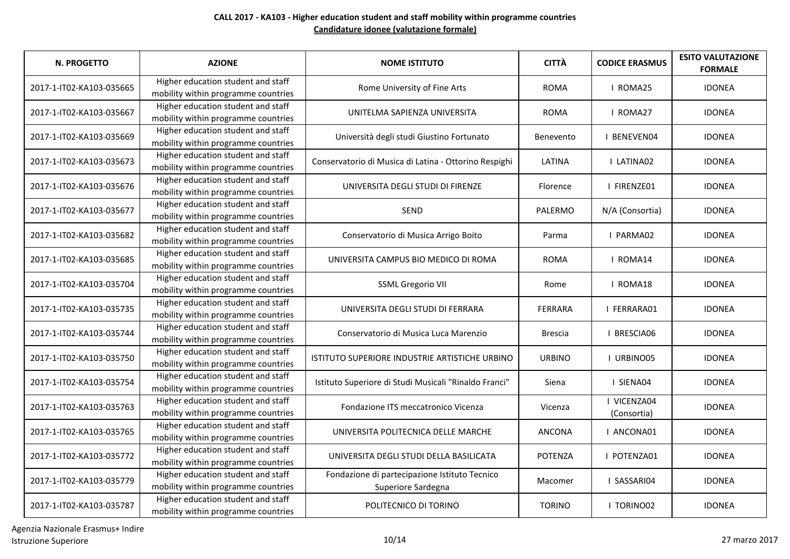| <b>N. PROGETTO</b>       | <b>AZIONE</b>                                                             | <b>NOME ISTITUTO</b>                                                | <b>CITTÀ</b>   | <b>CODICE ERASMUS</b>      | <b>ESITO VALUTAZIONE</b><br><b>FORMALE</b> |
|--------------------------|---------------------------------------------------------------------------|---------------------------------------------------------------------|----------------|----------------------------|--------------------------------------------|
| 2017-1-IT02-KA103-035665 | Higher education student and staff<br>mobility within programme countries | Rome University of Fine Arts                                        | <b>ROMA</b>    | I ROMA25                   | <b>IDONEA</b>                              |
| 2017-1-IT02-KA103-035667 | Higher education student and staff<br>mobility within programme countries | UNITELMA SAPIENZA UNIVERSITA                                        | <b>ROMA</b>    | I ROMA27                   | <b>IDONEA</b>                              |
| 2017-1-IT02-KA103-035669 | Higher education student and staff<br>mobility within programme countries | Università degli studi Giustino Fortunato                           | Benevento      | I BENEVEN04                | <b>IDONEA</b>                              |
| 2017-1-IT02-KA103-035673 | Higher education student and staff<br>mobility within programme countries | Conservatorio di Musica di Latina - Ottorino Respighi               | LATINA         | I LATINA02                 | <b>IDONEA</b>                              |
| 2017-1-IT02-KA103-035676 | Higher education student and staff<br>mobility within programme countries | UNIVERSITA DEGLI STUDI DI FIRENZE                                   | Florence       | I FIRENZE01                | <b>IDONEA</b>                              |
| 2017-1-IT02-KA103-035677 | Higher education student and staff<br>mobility within programme countries | <b>SEND</b>                                                         | PALERMO        | N/A (Consortia)            | <b>IDONEA</b>                              |
| 2017-1-IT02-KA103-035682 | Higher education student and staff<br>mobility within programme countries | Conservatorio di Musica Arrigo Boito                                | Parma          | I PARMA02                  | <b>IDONEA</b>                              |
| 2017-1-IT02-KA103-035685 | Higher education student and staff<br>mobility within programme countries | UNIVERSITA CAMPUS BIO MEDICO DI ROMA                                | <b>ROMA</b>    | I ROMA14                   | <b>IDONEA</b>                              |
| 2017-1-IT02-KA103-035704 | Higher education student and staff<br>mobility within programme countries | <b>SSML Gregorio VII</b>                                            | Rome           | I ROMA18                   | <b>IDONEA</b>                              |
| 2017-1-IT02-KA103-035735 | Higher education student and staff<br>mobility within programme countries | UNIVERSITA DEGLI STUDI DI FERRARA                                   | <b>FERRARA</b> | I FERRARA01                | <b>IDONEA</b>                              |
| 2017-1-IT02-KA103-035744 | Higher education student and staff<br>mobility within programme countries | Conservatorio di Musica Luca Marenzio                               | <b>Brescia</b> | <b>I BRESCIA06</b>         | <b>IDONEA</b>                              |
| 2017-1-IT02-KA103-035750 | Higher education student and staff<br>mobility within programme countries | ISTITUTO SUPERIORE INDUSTRIE ARTISTICHE URBINO                      | <b>URBINO</b>  | I URBINO05                 | <b>IDONEA</b>                              |
| 2017-1-IT02-KA103-035754 | Higher education student and staff<br>mobility within programme countries | Istituto Superiore di Studi Musicali "Rinaldo Franci"               | Siena          | I SIENA04                  | <b>IDONEA</b>                              |
| 2017-1-IT02-KA103-035763 | Higher education student and staff<br>mobility within programme countries | Fondazione ITS meccatronico Vicenza                                 | Vicenza        | I VICENZA04<br>(Consortia) | <b>IDONEA</b>                              |
| 2017-1-IT02-KA103-035765 | Higher education student and staff<br>mobility within programme countries | UNIVERSITA POLITECNICA DELLE MARCHE                                 | ANCONA         | I ANCONA01                 | <b>IDONEA</b>                              |
| 2017-1-IT02-KA103-035772 | Higher education student and staff<br>mobility within programme countries | UNIVERSITA DEGLI STUDI DELLA BASILICATA                             | <b>POTENZA</b> | I POTENZA01                | <b>IDONEA</b>                              |
| 2017-1-IT02-KA103-035779 | Higher education student and staff<br>mobility within programme countries | Fondazione di partecipazione Istituto Tecnico<br>Superiore Sardegna | Macomer        | I SASSARI04                | <b>IDONEA</b>                              |
| 2017-1-IT02-KA103-035787 | Higher education student and staff<br>mobility within programme countries | POLITECNICO DI TORINO                                               | <b>TORINO</b>  | I TORINO02                 | <b>IDONEA</b>                              |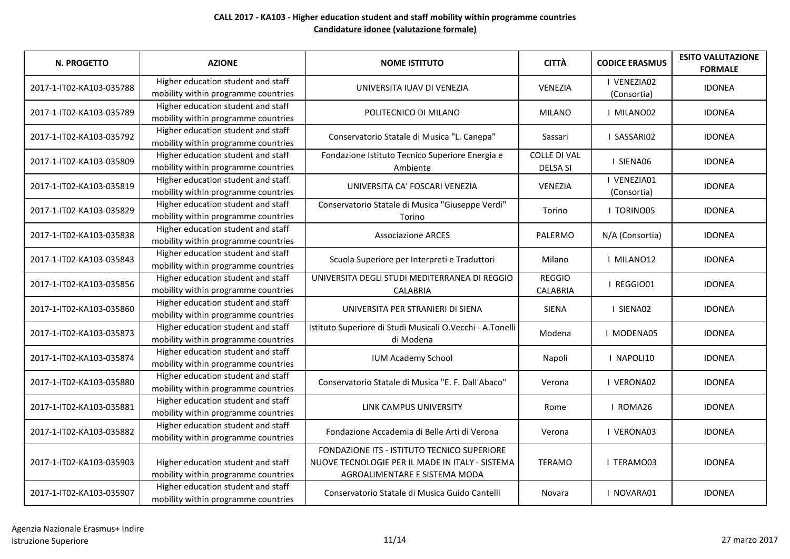| N. PROGETTO              | <b>AZIONE</b>                                                             | <b>NOME ISTITUTO</b>                                                                                                            | <b>CITTÀ</b>                           | <b>CODICE ERASMUS</b>      | <b>ESITO VALUTAZIONE</b><br><b>FORMALE</b> |
|--------------------------|---------------------------------------------------------------------------|---------------------------------------------------------------------------------------------------------------------------------|----------------------------------------|----------------------------|--------------------------------------------|
| 2017-1-IT02-KA103-035788 | Higher education student and staff<br>mobility within programme countries | UNIVERSITA IUAV DI VENEZIA                                                                                                      | <b>VENEZIA</b>                         | I VENEZIA02<br>(Consortia) | <b>IDONEA</b>                              |
| 2017-1-IT02-KA103-035789 | Higher education student and staff<br>mobility within programme countries | POLITECNICO DI MILANO                                                                                                           | <b>MILANO</b>                          | I MILANO02                 | <b>IDONEA</b>                              |
| 2017-1-IT02-KA103-035792 | Higher education student and staff<br>mobility within programme countries | Conservatorio Statale di Musica "L. Canepa"                                                                                     | Sassari                                | I SASSARIO2                | <b>IDONEA</b>                              |
| 2017-1-IT02-KA103-035809 | Higher education student and staff<br>mobility within programme countries | Fondazione Istituto Tecnico Superiore Energia e<br>Ambiente                                                                     | <b>COLLE DI VAL</b><br><b>DELSA SI</b> | I SIENA06                  | <b>IDONEA</b>                              |
| 2017-1-IT02-KA103-035819 | Higher education student and staff<br>mobility within programme countries | UNIVERSITA CA' FOSCARI VENEZIA                                                                                                  | <b>VENEZIA</b>                         | I VENEZIA01<br>(Consortia) | <b>IDONEA</b>                              |
| 2017-1-IT02-KA103-035829 | Higher education student and staff<br>mobility within programme countries | Conservatorio Statale di Musica "Giuseppe Verdi"<br>Torino                                                                      | Torino                                 | I TORINO05                 | <b>IDONEA</b>                              |
| 2017-1-IT02-KA103-035838 | Higher education student and staff<br>mobility within programme countries | <b>Associazione ARCES</b>                                                                                                       | PALERMO                                | N/A (Consortia)            | <b>IDONEA</b>                              |
| 2017-1-IT02-KA103-035843 | Higher education student and staff<br>mobility within programme countries | Scuola Superiore per Interpreti e Traduttori                                                                                    | Milano                                 | I MILANO12                 | <b>IDONEA</b>                              |
| 2017-1-IT02-KA103-035856 | Higher education student and staff<br>mobility within programme countries | UNIVERSITA DEGLI STUDI MEDITERRANEA DI REGGIO<br><b>CALABRIA</b>                                                                | <b>REGGIO</b><br><b>CALABRIA</b>       | I REGGIO01                 | <b>IDONEA</b>                              |
| 2017-1-IT02-KA103-035860 | Higher education student and staff<br>mobility within programme countries | UNIVERSITA PER STRANIERI DI SIENA                                                                                               | <b>SIENA</b>                           | I SIENA02                  | <b>IDONEA</b>                              |
| 2017-1-IT02-KA103-035873 | Higher education student and staff<br>mobility within programme countries | Istituto Superiore di Studi Musicali O.Vecchi - A.Tonelli<br>di Modena                                                          | Modena                                 | <b>I MODENA05</b>          | <b>IDONEA</b>                              |
| 2017-1-IT02-KA103-035874 | Higher education student and staff<br>mobility within programme countries | <b>IUM Academy School</b>                                                                                                       | Napoli                                 | I NAPOLI10                 | <b>IDONEA</b>                              |
| 2017-1-IT02-KA103-035880 | Higher education student and staff<br>mobility within programme countries | Conservatorio Statale di Musica "E. F. Dall'Abaco"                                                                              | Verona                                 | I VERONA02                 | <b>IDONEA</b>                              |
| 2017-1-IT02-KA103-035881 | Higher education student and staff<br>mobility within programme countries | LINK CAMPUS UNIVERSITY                                                                                                          | Rome                                   | I ROMA26                   | <b>IDONEA</b>                              |
| 2017-1-IT02-KA103-035882 | Higher education student and staff<br>mobility within programme countries | Fondazione Accademia di Belle Arti di Verona                                                                                    | Verona                                 | <b>I VERONA03</b>          | <b>IDONEA</b>                              |
| 2017-1-IT02-KA103-035903 | Higher education student and staff<br>mobility within programme countries | FONDAZIONE ITS - ISTITUTO TECNICO SUPERIORE<br>NUOVE TECNOLOGIE PER IL MADE IN ITALY - SISTEMA<br>AGROALIMENTARE E SISTEMA MODA | <b>TERAMO</b>                          | <b>I TERAMO03</b>          | <b>IDONEA</b>                              |
| 2017-1-IT02-KA103-035907 | Higher education student and staff<br>mobility within programme countries | Conservatorio Statale di Musica Guido Cantelli                                                                                  | Novara                                 | I NOVARA01                 | <b>IDONEA</b>                              |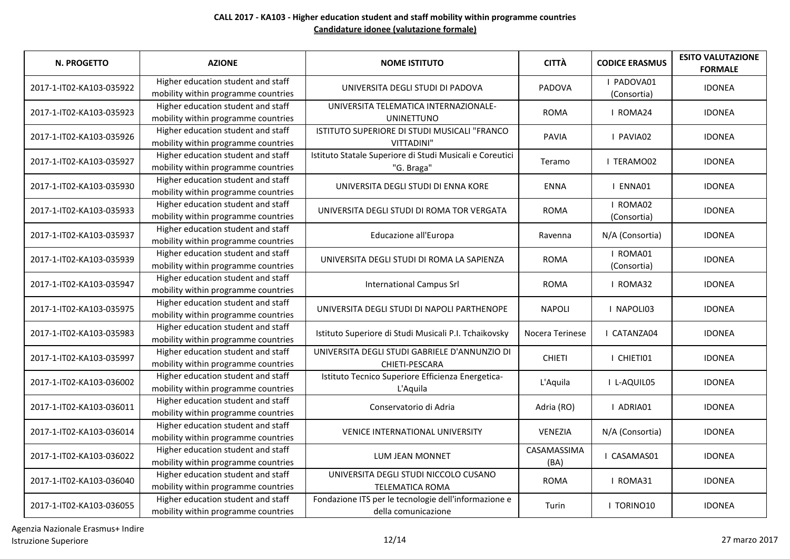| <b>N. PROGETTO</b>       | <b>AZIONE</b>                                                             | <b>NOME ISTITUTO</b>                                                        | <b>CITTÀ</b>        | <b>CODICE ERASMUS</b>     | <b>ESITO VALUTAZIONE</b><br><b>FORMALE</b> |
|--------------------------|---------------------------------------------------------------------------|-----------------------------------------------------------------------------|---------------------|---------------------------|--------------------------------------------|
| 2017-1-IT02-KA103-035922 | Higher education student and staff<br>mobility within programme countries | UNIVERSITA DEGLI STUDI DI PADOVA                                            | PADOVA              | I PADOVA01<br>(Consortia) | <b>IDONEA</b>                              |
| 2017-1-IT02-KA103-035923 | Higher education student and staff<br>mobility within programme countries | UNIVERSITA TELEMATICA INTERNAZIONALE-<br><b>UNINETTUNO</b>                  | <b>ROMA</b>         | I ROMA24                  | <b>IDONEA</b>                              |
| 2017-1-IT02-KA103-035926 | Higher education student and staff<br>mobility within programme countries | ISTITUTO SUPERIORE DI STUDI MUSICALI "FRANCO<br>VITTADINI"                  | <b>PAVIA</b>        | I PAVIA02                 | <b>IDONEA</b>                              |
| 2017-1-IT02-KA103-035927 | Higher education student and staff<br>mobility within programme countries | Istituto Statale Superiore di Studi Musicali e Coreutici<br>"G. Braga"      | Teramo              | I TERAMO02                | <b>IDONEA</b>                              |
| 2017-1-IT02-KA103-035930 | Higher education student and staff<br>mobility within programme countries | UNIVERSITA DEGLI STUDI DI ENNA KORE                                         | <b>ENNA</b>         | I ENNA01                  | <b>IDONEA</b>                              |
| 2017-1-IT02-KA103-035933 | Higher education student and staff<br>mobility within programme countries | UNIVERSITA DEGLI STUDI DI ROMA TOR VERGATA                                  | <b>ROMA</b>         | I ROMA02<br>(Consortia)   | <b>IDONEA</b>                              |
| 2017-1-IT02-KA103-035937 | Higher education student and staff<br>mobility within programme countries | Educazione all'Europa                                                       | Ravenna             | N/A (Consortia)           | <b>IDONEA</b>                              |
| 2017-1-IT02-KA103-035939 | Higher education student and staff<br>mobility within programme countries | UNIVERSITA DEGLI STUDI DI ROMA LA SAPIENZA                                  | <b>ROMA</b>         | I ROMA01<br>(Consortia)   | <b>IDONEA</b>                              |
| 2017-1-IT02-KA103-035947 | Higher education student and staff<br>mobility within programme countries | <b>International Campus Srl</b>                                             | <b>ROMA</b>         | I ROMA32                  | <b>IDONEA</b>                              |
| 2017-1-IT02-KA103-035975 | Higher education student and staff<br>mobility within programme countries | UNIVERSITA DEGLI STUDI DI NAPOLI PARTHENOPE                                 | <b>NAPOLI</b>       | I NAPOLI03                | <b>IDONEA</b>                              |
| 2017-1-IT02-KA103-035983 | Higher education student and staff<br>mobility within programme countries | Istituto Superiore di Studi Musicali P.I. Tchaikovsky                       | Nocera Terinese     | I CATANZA04               | <b>IDONEA</b>                              |
| 2017-1-IT02-KA103-035997 | Higher education student and staff<br>mobility within programme countries | UNIVERSITA DEGLI STUDI GABRIELE D'ANNUNZIO DI<br>CHIETI-PESCARA             | <b>CHIETI</b>       | I CHIETI01                | <b>IDONEA</b>                              |
| 2017-1-IT02-KA103-036002 | Higher education student and staff<br>mobility within programme countries | Istituto Tecnico Superiore Efficienza Energetica-<br>L'Aquila               | L'Aquila            | I L-AQUIL05               | <b>IDONEA</b>                              |
| 2017-1-IT02-KA103-036011 | Higher education student and staff<br>mobility within programme countries | Conservatorio di Adria                                                      | Adria (RO)          | I ADRIA01                 | <b>IDONEA</b>                              |
| 2017-1-IT02-KA103-036014 | Higher education student and staff<br>mobility within programme countries | <b>VENICE INTERNATIONAL UNIVERSITY</b>                                      | VENEZIA             | N/A (Consortia)           | <b>IDONEA</b>                              |
| 2017-1-IT02-KA103-036022 | Higher education student and staff<br>mobility within programme countries | LUM JEAN MONNET                                                             | CASAMASSIMA<br>(BA) | I CASAMAS01               | <b>IDONEA</b>                              |
| 2017-1-IT02-KA103-036040 | Higher education student and staff<br>mobility within programme countries | UNIVERSITA DEGLI STUDI NICCOLO CUSANO<br><b>TELEMATICA ROMA</b>             | <b>ROMA</b>         | I ROMA31                  | <b>IDONEA</b>                              |
| 2017-1-IT02-KA103-036055 | Higher education student and staff<br>mobility within programme countries | Fondazione ITS per le tecnologie dell'informazione e<br>della comunicazione | Turin               | <b>I TORINO10</b>         | <b>IDONEA</b>                              |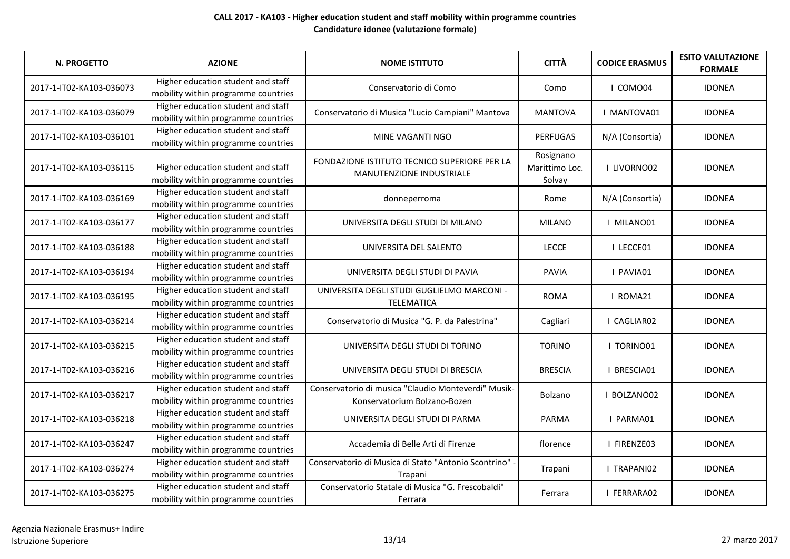| <b>N. PROGETTO</b>       | <b>AZIONE</b>                                                             | <b>NOME ISTITUTO</b>                                                                | <b>CITTÀ</b>                          | <b>CODICE ERASMUS</b> | <b>ESITO VALUTAZIONE</b><br><b>FORMALE</b> |
|--------------------------|---------------------------------------------------------------------------|-------------------------------------------------------------------------------------|---------------------------------------|-----------------------|--------------------------------------------|
| 2017-1-IT02-KA103-036073 | Higher education student and staff<br>mobility within programme countries | Conservatorio di Como                                                               | Como                                  | I COMO04              | <b>IDONEA</b>                              |
| 2017-1-IT02-KA103-036079 | Higher education student and staff<br>mobility within programme countries | Conservatorio di Musica "Lucio Campiani" Mantova                                    | <b>MANTOVA</b>                        | <b>I MANTOVA01</b>    | <b>IDONEA</b>                              |
| 2017-1-IT02-KA103-036101 | Higher education student and staff<br>mobility within programme countries | MINE VAGANTI NGO                                                                    | <b>PERFUGAS</b>                       | N/A (Consortia)       | <b>IDONEA</b>                              |
| 2017-1-IT02-KA103-036115 | Higher education student and staff<br>mobility within programme countries | FONDAZIONE ISTITUTO TECNICO SUPERIORE PER LA<br><b>MANUTENZIONE INDUSTRIALE</b>     | Rosignano<br>Marittimo Loc.<br>Solvay | I LIVORNO02           | <b>IDONEA</b>                              |
| 2017-1-IT02-KA103-036169 | Higher education student and staff<br>mobility within programme countries | donneperroma                                                                        | Rome                                  | N/A (Consortia)       | <b>IDONEA</b>                              |
| 2017-1-IT02-KA103-036177 | Higher education student and staff<br>mobility within programme countries | UNIVERSITA DEGLI STUDI DI MILANO                                                    | <b>MILANO</b>                         | I MILANO01            | <b>IDONEA</b>                              |
| 2017-1-IT02-KA103-036188 | Higher education student and staff<br>mobility within programme countries | UNIVERSITA DEL SALENTO                                                              | <b>LECCE</b>                          | I LECCE01             | <b>IDONEA</b>                              |
| 2017-1-IT02-KA103-036194 | Higher education student and staff<br>mobility within programme countries | UNIVERSITA DEGLI STUDI DI PAVIA                                                     | <b>PAVIA</b>                          | I PAVIA01             | <b>IDONEA</b>                              |
| 2017-1-IT02-KA103-036195 | Higher education student and staff<br>mobility within programme countries | UNIVERSITA DEGLI STUDI GUGLIELMO MARCONI -<br><b>TELEMATICA</b>                     | <b>ROMA</b>                           | I ROMA21              | <b>IDONEA</b>                              |
| 2017-1-IT02-KA103-036214 | Higher education student and staff<br>mobility within programme countries | Conservatorio di Musica "G. P. da Palestrina"                                       | Cagliari                              | I CAGLIAR02           | <b>IDONEA</b>                              |
| 2017-1-IT02-KA103-036215 | Higher education student and staff<br>mobility within programme countries | UNIVERSITA DEGLI STUDI DI TORINO                                                    | <b>TORINO</b>                         | I TORINO01            | <b>IDONEA</b>                              |
| 2017-1-IT02-KA103-036216 | Higher education student and staff<br>mobility within programme countries | UNIVERSITA DEGLI STUDI DI BRESCIA                                                   | <b>BRESCIA</b>                        | I BRESCIA01           | <b>IDONEA</b>                              |
| 2017-1-IT02-KA103-036217 | Higher education student and staff<br>mobility within programme countries | Conservatorio di musica "Claudio Monteverdi" Musik-<br>Konservatorium Bolzano-Bozen | Bolzano                               | I BOLZANO02           | <b>IDONEA</b>                              |
| 2017-1-IT02-KA103-036218 | Higher education student and staff<br>mobility within programme countries | UNIVERSITA DEGLI STUDI DI PARMA                                                     | PARMA                                 | I PARMA01             | <b>IDONEA</b>                              |
| 2017-1-IT02-KA103-036247 | Higher education student and staff<br>mobility within programme countries | Accademia di Belle Arti di Firenze                                                  | florence                              | I FIRENZE03           | <b>IDONEA</b>                              |
| 2017-1-IT02-KA103-036274 | Higher education student and staff<br>mobility within programme countries | Conservatorio di Musica di Stato "Antonio Scontrino" -<br>Trapani                   | Trapani                               | I TRAPANI02           | <b>IDONEA</b>                              |
| 2017-1-IT02-KA103-036275 | Higher education student and staff<br>mobility within programme countries | Conservatorio Statale di Musica "G. Frescobaldi"<br>Ferrara                         | Ferrara                               | I FERRARA02           | <b>IDONEA</b>                              |